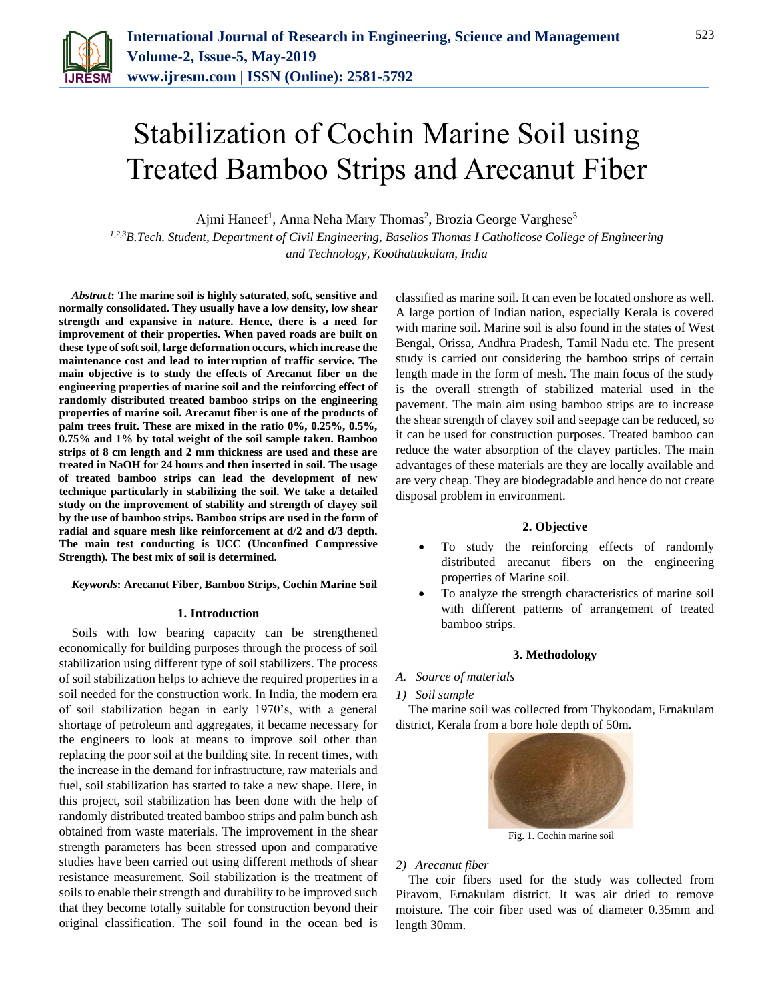

# Stabilization of Cochin Marine Soil using Treated Bamboo Strips and Arecanut Fiber

Ajmi Haneef<sup>1</sup>, Anna Neha Mary Thomas<sup>2</sup>, Brozia George Varghese<sup>3</sup>

*1,2,3B.Tech. Student, Department of Civil Engineering, Baselios Thomas I Catholicose College of Engineering and Technology, Koothattukulam, India*

*Abstract***: The marine soil is highly saturated, soft, sensitive and normally consolidated. They usually have a low density, low shear strength and expansive in nature. Hence, there is a need for improvement of their properties. When paved roads are built on these type of soft soil, large deformation occurs, which increase the maintenance cost and lead to interruption of traffic service. The main objective is to study the effects of Arecanut fiber on the engineering properties of marine soil and the reinforcing effect of randomly distributed treated bamboo strips on the engineering properties of marine soil. Arecanut fiber is one of the products of palm trees fruit. These are mixed in the ratio 0%, 0.25%, 0.5%, 0.75% and 1% by total weight of the soil sample taken. Bamboo strips of 8 cm length and 2 mm thickness are used and these are treated in NaOH for 24 hours and then inserted in soil. The usage of treated bamboo strips can lead the development of new technique particularly in stabilizing the soil. We take a detailed study on the improvement of stability and strength of clayey soil by the use of bamboo strips. Bamboo strips are used in the form of radial and square mesh like reinforcement at d/2 and d/3 depth. The main test conducting is UCC (Unconfined Compressive Strength). The best mix of soil is determined.**

## *Keywords***: Arecanut Fiber, Bamboo Strips, Cochin Marine Soil**

#### **1. Introduction**

Soils with low bearing capacity can be strengthened economically for building purposes through the process of soil stabilization using different type of soil stabilizers. The process of soil stabilization helps to achieve the required properties in a soil needed for the construction work. In India, the modern era of soil stabilization began in early 1970's, with a general shortage of petroleum and aggregates, it became necessary for the engineers to look at means to improve soil other than replacing the poor soil at the building site. In recent times, with the increase in the demand for infrastructure, raw materials and fuel, soil stabilization has started to take a new shape. Here, in this project, soil stabilization has been done with the help of randomly distributed treated bamboo strips and palm bunch ash obtained from waste materials. The improvement in the shear strength parameters has been stressed upon and comparative studies have been carried out using different methods of shear resistance measurement. Soil stabilization is the treatment of soils to enable their strength and durability to be improved such that they become totally suitable for construction beyond their original classification. The soil found in the ocean bed is classified as marine soil. It can even be located onshore as well. A large portion of Indian nation, especially Kerala is covered with marine soil. Marine soil is also found in the states of West Bengal, Orissa, Andhra Pradesh, Tamil Nadu etc. The present study is carried out considering the bamboo strips of certain length made in the form of mesh. The main focus of the study is the overall strength of stabilized material used in the pavement. The main aim using bamboo strips are to increase the shear strength of clayey soil and seepage can be reduced, so it can be used for construction purposes. Treated bamboo can reduce the water absorption of the clayey particles. The main advantages of these materials are they are locally available and are very cheap. They are biodegradable and hence do not create disposal problem in environment.

#### **2. Objective**

- To study the reinforcing effects of randomly distributed arecanut fibers on the engineering properties of Marine soil.
- To analyze the strength characteristics of marine soil with different patterns of arrangement of treated bamboo strips.

## **3. Methodology**

*A. Source of materials*

## *1) Soil sample*

The marine soil was collected from Thykoodam, Ernakulam district, Kerala from a bore hole depth of 50m.



Fig. 1. Cochin marine soil

## *2) Arecanut fiber*

The coir fibers used for the study was collected from Piravom, Ernakulam district. It was air dried to remove moisture. The coir fiber used was of diameter 0.35mm and length 30mm.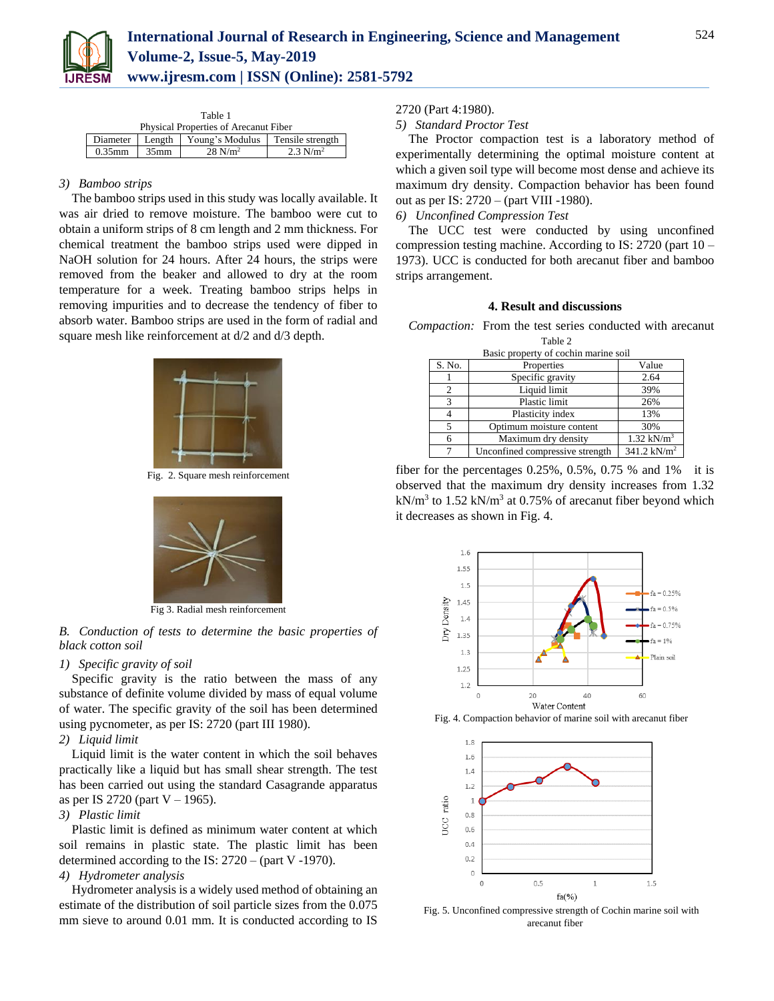

| Table 1 |                 |                                       |                                    |                     |  |
|---------|-----------------|---------------------------------------|------------------------------------|---------------------|--|
|         |                 | Physical Properties of Arecanut Fiber |                                    |                     |  |
|         | Diameter Length |                                       | Young's Modulus   Tensile strength |                     |  |
|         | $0.35$ mm       | $35$ mm                               | $28$ N/m <sup>2</sup>              | $2.3 \text{ N/m}^2$ |  |

## *3) Bamboo strips*

The bamboo strips used in this study was locally available. It was air dried to remove moisture. The bamboo were cut to obtain a uniform strips of 8 cm length and 2 mm thickness. For chemical treatment the bamboo strips used were dipped in NaOH solution for 24 hours. After 24 hours, the strips were removed from the beaker and allowed to dry at the room temperature for a week. Treating bamboo strips helps in removing impurities and to decrease the tendency of fiber to absorb water. Bamboo strips are used in the form of radial and square mesh like reinforcement at d/2 and d/3 depth.



Fig. 2. Square mesh reinforcement



Fig 3. Radial mesh reinforcement

*B. Conduction of tests to determine the basic properties of black cotton soil*

## *1) Specific gravity of soil*

Specific gravity is the ratio between the mass of any substance of definite volume divided by mass of equal volume of water. The specific gravity of the soil has been determined using pycnometer, as per IS: 2720 (part III 1980).

## *2) Liquid limit*

Liquid limit is the water content in which the soil behaves practically like a liquid but has small shear strength. The test has been carried out using the standard Casagrande apparatus as per IS 2720 (part  $V - 1965$ ).

## *3) Plastic limit*

Plastic limit is defined as minimum water content at which soil remains in plastic state. The plastic limit has been determined according to the IS: 2720 – (part V -1970).

## *4) Hydrometer analysis*

Hydrometer analysis is a widely used method of obtaining an estimate of the distribution of soil particle sizes from the 0.075 mm sieve to around 0.01 mm. It is conducted according to IS 2720 (Part 4:1980).

## *5) Standard Proctor Test*

The Proctor compaction test is a laboratory method of experimentally determining the optimal moisture content at which a given soil type will become most dense and achieve its maximum dry density. Compaction behavior has been found out as per IS: 2720 – (part VIII -1980).

## *6) Unconfined Compression Test*

The UCC test were conducted by using unconfined compression testing machine. According to IS: 2720 (part 10 – 1973). UCC is conducted for both arecanut fiber and bamboo strips arrangement.

## **4. Result and discussions**

*Compaction:* From the test series conducted with arecanut

| Table 2                              |                                 |                       |  |  |  |  |
|--------------------------------------|---------------------------------|-----------------------|--|--|--|--|
| Basic property of cochin marine soil |                                 |                       |  |  |  |  |
| S. No.                               | Properties                      | Value                 |  |  |  |  |
|                                      | Specific gravity                | 2.64                  |  |  |  |  |
| 2                                    | Liquid limit                    | 39%                   |  |  |  |  |
| 3                                    | Plastic limit                   | 26%                   |  |  |  |  |
| 4                                    | Plasticity index                | 13%                   |  |  |  |  |
| 5                                    | Optimum moisture content        | 30%                   |  |  |  |  |
| 6                                    | Maximum dry density             | $1.32 \text{ kN/m}^3$ |  |  |  |  |
| 7                                    | Unconfined compressive strength | 341.2 $kN/m^2$        |  |  |  |  |

fiber for the percentages  $0.25\%$ ,  $0.5\%$ ,  $0.75\%$  and  $1\%$  it is observed that the maximum dry density increases from 1.32  $kN/m<sup>3</sup>$  to 1.52 kN/m<sup>3</sup> at 0.75% of arecanut fiber beyond which it decreases as shown in Fig. 4.



Fig. 4. Compaction behavior of marine soil with arecanut fiber



Fig. 5. Unconfined compressive strength of Cochin marine soil with arecanut fiber